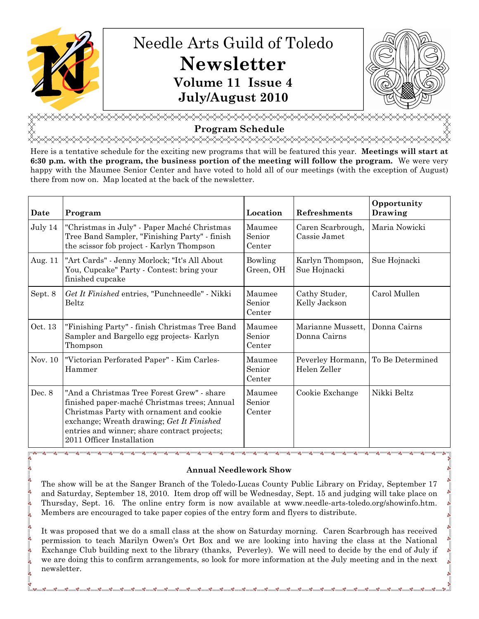

# Needle Arts Guild of Toledo Newsletter Volume 11 Issue 4 July/August 2010



<del></del> Program Schedule

<del></del>

Here is a tentative schedule for the exciting new programs that will be featured this year. Meetings will start at 6:30 p.m. with the program, the business portion of the meeting will follow the program. We were very happy with the Maumee Senior Center and have voted to hold all of our meetings (with the exception of August) there from now on. Map located at the back of the newsletter.

| Date    | Program                                                                                                                                                                                                                                                          | Location                   | Refreshments                      | Opportunity<br>Drawing |
|---------|------------------------------------------------------------------------------------------------------------------------------------------------------------------------------------------------------------------------------------------------------------------|----------------------------|-----------------------------------|------------------------|
| July 14 | "Christmas in July" - Paper Maché Christmas<br>Tree Band Sampler, "Finishing Party" - finish<br>the scissor fob project - Karlyn Thompson                                                                                                                        | Maumee<br>Senior<br>Center | Caren Scarbrough,<br>Cassie Jamet | Maria Nowicki          |
| Aug. 11 | "Art Cards" - Jenny Morlock; "It's All About<br>You, Cupcake" Party - Contest: bring your<br>finished cupcake                                                                                                                                                    | Bowling<br>Green, OH       | Karlyn Thompson,<br>Sue Hojnacki  | Sue Hojnacki           |
| Sept. 8 | Get It Finished entries, "Punchneedle" - Nikki<br><b>Beltz</b>                                                                                                                                                                                                   | Maumee<br>Senior<br>Center | Cathy Studer,<br>Kelly Jackson    | Carol Mullen           |
| Oct. 13 | "Finishing Party" - finish Christmas Tree Band<br>Sampler and Bargello egg projects- Karlyn<br>Thompson                                                                                                                                                          | Maumee<br>Senior<br>Center | Marianne Mussett,<br>Donna Cairns | Donna Cairns           |
| Nov. 10 | "Victorian Perforated Paper" - Kim Carles-<br>Hammer                                                                                                                                                                                                             | Maumee<br>Senior<br>Center | Peverley Hormann,<br>Helen Zeller | To Be Determined       |
| Dec. 8  | "And a Christmas Tree Forest Grew" - share<br>finished paper-maché Christmas trees; Annual<br>Christmas Party with ornament and cookie<br>exchange; Wreath drawing; Get It Finished<br>entries and winner; share contract projects;<br>2011 Officer Installation | Maumee<br>Senior<br>Center | Cookie Exchange                   | Nikki Beltz            |

# Annual Needlework Show

The show will be at the Sanger Branch of the Toledo-Lucas County Public Library on Friday, September 17 and Saturday, September 18, 2010. Item drop off will be Wednesday, Sept. 15 and judging will take place on Thursday, Sept. 16. The online entry form is now available at www.needle-arts-toledo.org/showinfo.htm. Members are encouraged to take paper copies of the entry form and flyers to distribute.

It was proposed that we do a small class at the show on Saturday morning. Caren Scarbrough has received permission to teach Marilyn Owen's Ort Box and we are looking into having the class at the National Exchange Club building next to the library (thanks, Peverley). We will need to decide by the end of July if we are doing this to confirm arrangements, so look for more information at the July meeting and in the next newsletter.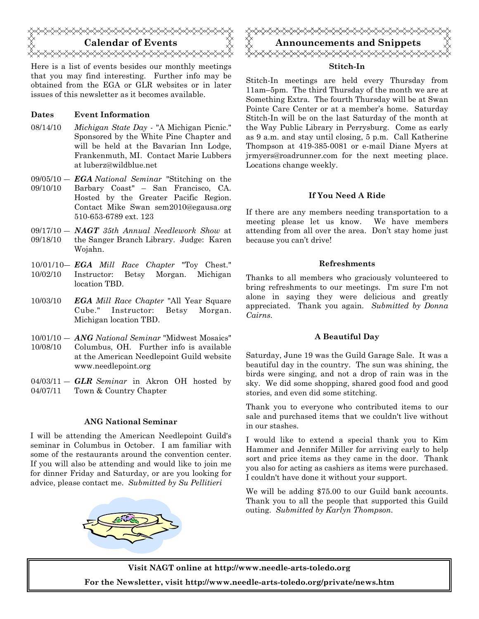

Here is a list of events besides our monthly meetings that you may find interesting. Further info may be obtained from the EGA or GLR websites or in later issues of this newsletter as it becomes available.

# Dates Event Information

- 08/14/10 Michigan State Day "A Michigan Picnic." Sponsored by the White Pine Chapter and will be held at the Bavarian Inn Lodge, Frankenmuth, MI. Contact Marie Lubbers at luberz@wildblue.net
- $09/05/10 EGA National\quad$  "Stitching on the 09/10/10 Barbary Coast" – San Francisco, CA. Hosted by the Greater Pacific Region. Contact Mike Swan sem2010@egausa.org 510-653-6789 ext. 123
- $09/17/10 NAGT$  35th Annual Needlework Show at 09/18/10 the Sanger Branch Library. Judge: Karen Wojahn.
- 10/01/10- EGA Mill Race Chapter "Toy Chest." 10/02/10 Instructor: Betsy Morgan. Michigan location TBD.
- 10/03/10 EGA Mill Race Chapter "All Year Square Cube." Instructor: Betsy Morgan. Michigan location TBD.
- 10/01/10 ANG National Seminar "Midwest Mosaics" 10/08/10 Columbus, OH. Further info is available at the American Needlepoint Guild website www.needlepoint.org
- $04/03/11 GLR$  Seminar in Akron OH hosted by 04/07/11 Town & Country Chapter

# ANG National Seminar

I will be attending the American Needlepoint Guild's seminar in Columbus in October. I am familiar with some of the restaurants around the convention center. If you will also be attending and would like to join me for dinner Friday and Saturday, or are you looking for advice, please contact me. Submitted by Su Pellitieri





### Stitch-In

Stitch-In meetings are held every Thursday from 11am–5pm. The third Thursday of the month we are at Something Extra. The fourth Thursday will be at Swan Pointe Care Center or at a member's home. Saturday Stitch-In will be on the last Saturday of the month at the Way Public Library in Perrysburg. Come as early as 9 a.m. and stay until closing, 5 p.m. Call Katherine Thompson at 419-385-0081 or e-mail Diane Myers at jrmyers@roadrunner.com for the next meeting place. Locations change weekly.

# If You Need A Ride

If there are any members needing transportation to a meeting please let us know. We have members attending from all over the area. Don't stay home just because you can't drive!

# Refreshments

Thanks to all members who graciously volunteered to bring refreshments to our meetings. I'm sure I'm not alone in saying they were delicious and greatly appreciated. Thank you again. Submitted by Donna Cairns.

# A Beautiful Day

Saturday, June 19 was the Guild Garage Sale. It was a beautiful day in the country. The sun was shining, the birds were singing, and not a drop of rain was in the sky. We did some shopping, shared good food and good stories, and even did some stitching.

Thank you to everyone who contributed items to our sale and purchased items that we couldn't live without in our stashes.

I would like to extend a special thank you to Kim Hammer and Jennifer Miller for arriving early to help sort and price items as they came in the door. Thank you also for acting as cashiers as items were purchased. I couldn't have done it without your support.

We will be adding \$75.00 to our Guild bank accounts. Thank you to all the people that supported this Guild outing. Submitted by Karlyn Thompson.

Visit NAGT online at http://www.needle-arts-toledo.org For the Newsletter, visit http://www.needle-arts-toledo.org/private/news.htm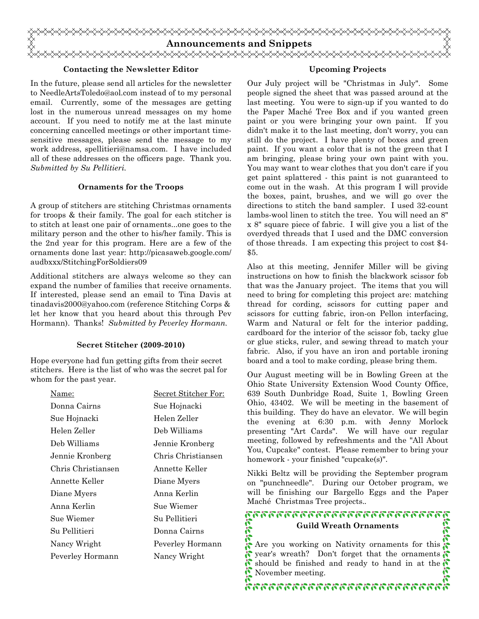

# Contacting the Newsletter Editor

In the future, please send all articles for the newsletter to NeedleArtsToledo@aol.com instead of to my personal email. Currently, some of the messages are getting lost in the numerous unread messages on my home account. If you need to notify me at the last minute concerning cancelled meetings or other important timesensitive messages, please send the message to my work address, spellitieri@namsa.com. I have included all of these addresses on the officers page. Thank you. Submitted by Su Pellitieri.

# Ornaments for the Troops

A group of stitchers are stitching Christmas ornaments for troops & their family. The goal for each stitcher is to stitch at least one pair of ornaments...one goes to the military person and the other to his/her family. This is the 2nd year for this program. Here are a few of the ornaments done last year: http://picasaweb.google.com/ audbxxx/StitchingForSoldiers09

Additional stitchers are always welcome so they can expand the number of families that receive ornaments. If interested, please send an email to Tina Davis at tinadavis2000@yahoo.com (reference Stitching Corps & let her know that you heard about this through Pev Hormann). Thanks! Submitted by Peverley Hormann.

# Secret Stitcher (2009-2010)

Hope everyone had fun getting gifts from their secret stitchers. Here is the list of who was the secret pal for whom for the past year.

| Name:              | Secret Stitcher For: |
|--------------------|----------------------|
| Donna Cairns       | Sue Hojnacki         |
| Sue Hojnacki       | Helen Zeller         |
| Helen Zeller       | Deb Williams         |
| Deb Williams       | Jennie Kronberg      |
| Jennie Kronberg    | Chris Christiansen   |
| Chris Christiansen | Annette Keller       |
| Annette Keller     | Diane Myers          |
| Diane Myers        | Anna Kerlin          |
| Anna Kerlin        | Sue Wiemer           |
| Sue Wiemer         | Su Pellitieri        |
| Su Pellitieri      | Donna Cairns         |
| Nancy Wright       | Peverley Hormann     |
| Peverley Hormann   | Nancy Wright         |

# Upcoming Projects

Our July project will be "Christmas in July". Some people signed the sheet that was passed around at the last meeting. You were to sign-up if you wanted to do the Paper Maché Tree Box and if you wanted green paint or you were bringing your own paint. If you didn't make it to the last meeting, don't worry, you can still do the project. I have plenty of boxes and green paint. If you want a color that is not the green that I am bringing, please bring your own paint with you. You may want to wear clothes that you don't care if you get paint splattered - this paint is not guaranteed to come out in the wash. At this program I will provide the boxes, paint, brushes, and we will go over the directions to stitch the band sampler. I used 32-count lambs-wool linen to stitch the tree. You will need an 8" x 8" square piece of fabric. I will give you a list of the overdyed threads that I used and the DMC conversion of those threads. I am expecting this project to cost \$4- \$5.

Also at this meeting, Jennifer Miller will be giving instructions on how to finish the blackwork scissor fob that was the January project. The items that you will need to bring for completing this project are: matching thread for cording, scissors for cutting paper and scissors for cutting fabric, iron-on Pellon interfacing, Warm and Natural or felt for the interior padding, cardboard for the interior of the scissor fob, tacky glue or glue sticks, ruler, and sewing thread to match your fabric. Also, if you have an iron and portable ironing board and a tool to make cording, please bring them.

Our August meeting will be in Bowling Green at the Ohio State University Extension Wood County Office, 639 South Dunbridge Road, Suite 1, Bowling Green Ohio, 43402. We will be meeting in the basement of this building. They do have an elevator. We will begin the evening at 6:30 p.m. with Jenny Morlock presenting "Art Cards". We will have our regular meeting, followed by refreshments and the "All About You, Cupcake" contest. Please remember to bring your homework - your finished "cupcake(s)".

Nikki Beltz will be providing the September program on "punchneedle". During our October program, we will be finishing our Bargello Eggs and the Paper Maché Christmas Tree projects..

Guild Wreath Ornaments

**Cities** Are you working on Nativity ornaments for this year's wreath? Don't forget that the ornaments should be finished and ready to hand in at the November meeting.

การการการการการการการการการ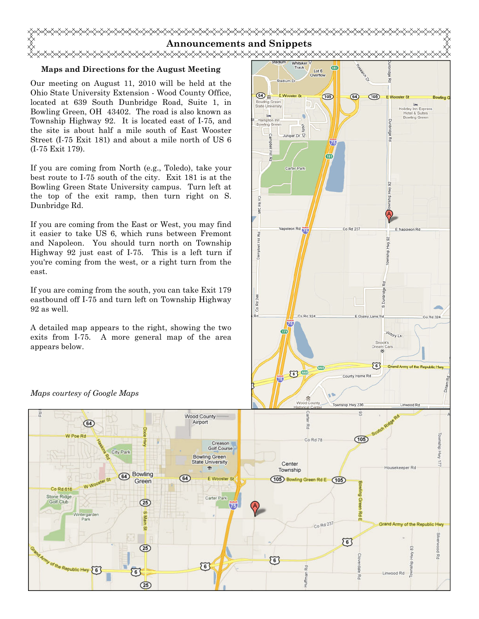

# Maps and Directions for the August Meeting

Our meeting on August 11, 2010 will be held at the Ohio State University Extension - Wood County Office, located at 639 South Dunbridge Road, Suite 1, in Bowling Green, OH 43402. The road is also known as Township Highway 92. It is located east of I-75, and the site is about half a mile south of East Wooster Street (I-75 Exit 181) and about a mile north of US 6 (I-75 Exit 179).

If you are coming from North (e.g., Toledo), take your best route to I-75 south of the city. Exit 181 is at the Bowling Green State University campus. Turn left at the top of the exit ramp, then turn right on S. Dunbridge Rd.

If you are coming from the East or West, you may find it easier to take US 6, which runs between Fremont and Napoleon. You should turn north on Township Highway 92 just east of I-75. This is a left turn if you're coming from the west, or a right turn from the east.

If you are coming from the south, you can take Exit 179 eastbound off I-75 and turn left on Township Highway 92 as well.

A detailed map appears to the right, showing the two exits from I-75. A more general map of the area appears below.



Maps courtesy of Google Maps

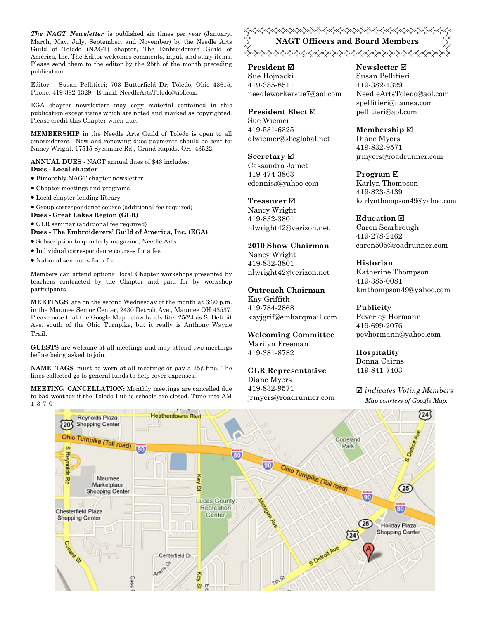The NAGT Newsletter is published six times per year (January, March, May, July, September, and November) by the Needle Arts Guild of Toledo (NAGT) chapter, The Embroiderers' Guild of America, Inc. The Editor welcomes comments, input, and story items. Please send them to the editor by the 25th of the month preceding publication.

Editor: Susan Pellitieri; 703 Butterfield Dr; Toledo, Ohio 43615, Phone: 419-382-1329, E-mail: NeedleArtsToledo@aol.com

EGA chapter newsletters may copy material contained in this publication except items which are noted and marked as copyrighted. Please credit this Chapter when due.

MEMBERSHIP in the Needle Arts Guild of Toledo is open to all embroiderers. New and renewing dues payments should be sent to: Nancy Wright, 17515 Sycamore Rd., Grand Rapids, OH 43522.

ANNUAL DUES - NAGT annual dues of \$43 includes: Dues - Local chapter

- Bimonthly NAGT chapter newsletter
- Chapter meetings and programs
- Local chapter lending library
- Group correspondence course (additional fee required)
- Dues Great Lakes Region (GLR)
- GLR seminar (additional fee required)

Dues - The Embroiderers' Guild of America, Inc. (EGA)

- Subscription to quarterly magazine, Needle Arts
- Individual correspondence courses for a fee
- National seminars for a fee

Members can attend optional local Chapter workshops presented by teachers contracted by the Chapter and paid for by workshop participants.

MEETINGS are on the second Wednesday of the month at 6:30 p.m. in the Maumee Senior Center, 2430 Detroit Ave., Maumee OH 43537. Please note that the Google Map below labels Rte. 25/24 as S. Detroit Ave. south of the Ohio Turnpike, but it really is Anthony Wayne Trail.

GUESTS are welcome at all meetings and may attend two meetings before being asked to join.

**NAME TAGS** must be worn at all meetings or pay a  $25¢$  fine. The fines collected go to general funds to help cover expenses.

MEETING CANCELLATION: Monthly meetings are cancelled due to bad weather if the Toledo Public schools are closed. Tune into AM 1 3 7 0

<del></del> NAGT Officers and Board Members <sub></sub><sub></sub>

President ⊠ Sue Hojnacki 419-385-8511 needleworkersue7@aol.com

#### President Elect Ø

Sue Wiemer 419-531-6325 dlwiemer@sbcglobal.net

Secretary  $\boxtimes$ 

Cassandra Jamet 419-474-3863 cdenniss@yahoo.com

#### Treasurer<sub> $⊓$ </sub>

Nancy Wright 419-832-3801 nlwright42@verizon.net

2010 Show Chairman Nancy Wright 419-832-3801 nlwright42@verizon.net

# Outreach Chairman

Kay Griffith 419-784-2868 kayjgrif@embarqmail.com

Welcoming Committee Marilyn Freeman 419-381-8782

#### GLR Representative Diane Myers 419-832-9571

jrmyers@roadrunner.com

Newsletter **Ø** Susan Pellitieri 419-382-1329 NeedleArtsToledo@aol.com spellitieri@namsa.com pellitieri@aol.com

# Membership ⊠

Diane Myers 419-832-9571 jrmyers@roadrunner.com

#### Program **⊠**

Karlyn Thompson 419-823-3439 karlynthompson49@yahoo.com

#### **Education** ⊠

Caren Scarbrough 419-278-2162 caren505@roadrunner.com

# Historian

Katherine Thompson 419-385-0081 kmthompson49@yahoo.com

#### Publicity

Peverley Hormann 419-699-2076 pevhormann@yahoo.com

Hospitality Donna Cairns 419-841-7403

 $\boxtimes$  indicates Voting Members Map courtesy of Google Map.